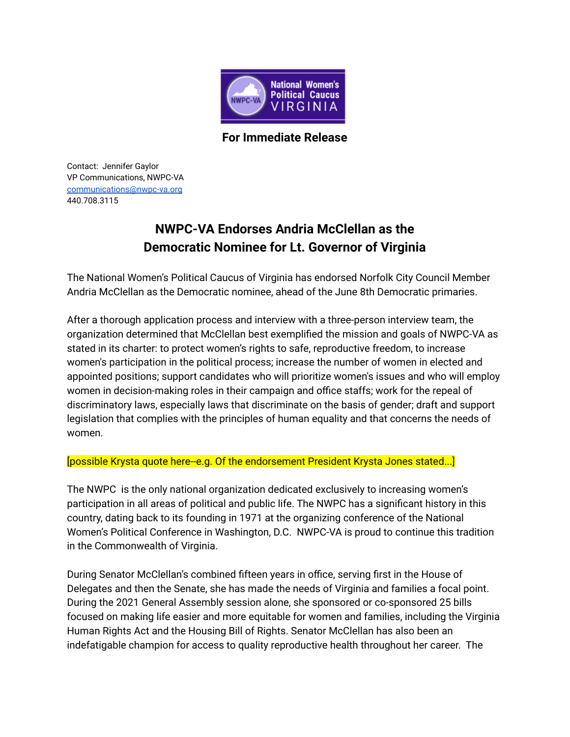

**For Immediate Release**

Contact: Jennifer Gaylor VP Communications, NWPC-VA [communications@nwpc-va.org](mailto:communications@nwpc-va.org) 440.708.3115

## **NWPC-VA Endorses Andria McClellan as the Democratic Nominee for Lt. Governor of Virginia**

The National Women's Political Caucus of Virginia has endorsed Norfolk City Council Member Andria McClellan as the Democratic nominee, ahead of the June 8th Democratic primaries.

After a thorough application process and interview with a three-person interview team, the organization determined that McClellan best exemplified the mission and goals of NWPC-VA as stated in its charter: to protect women's rights to safe, reproductive freedom, to increase women's participation in the political process; increase the number of women in elected and appointed positions; support candidates who will prioritize women's issues and who will employ women in decision-making roles in their campaign and office staffs; work for the repeal of discriminatory laws, especially laws that discriminate on the basis of gender; draft and support legislation that complies with the principles of human equality and that concerns the needs of women.

## [possible Krysta quote here--e.g. Of the endorsement President Krysta Jones stated...]

The NWPC is the only national organization dedicated exclusively to increasing women's participation in all areas of political and public life. The NWPC has a significant history in this country, dating back to its founding in 1971 at the organizing conference of the National Women's Political Conference in Washington, D.C. NWPC-VA is proud to continue this tradition in the Commonwealth of Virginia.

During Senator McClellan's combined fifteen years in office, serving first in the House of Delegates and then the Senate, she has made the needs of Virginia and families a focal point. During the 2021 General Assembly session alone, she sponsored or co-sponsored 25 bills focused on making life easier and more equitable for women and families, including the Virginia Human Rights Act and the Housing Bill of Rights. Senator McClellan has also been an indefatigable champion for access to quality reproductive health throughout her career. The